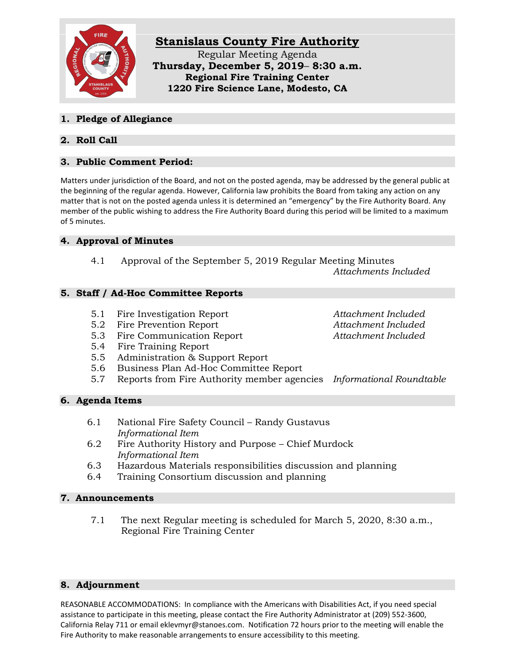

### **1. Pledge of Allegiance**

# **2. Roll Call**

# **3. Public Comment Period:**

Matters under jurisdiction of the Board, and not on the posted agenda, may be addressed by the general public at the beginning of the regular agenda. However, California law prohibits the Board from taking any action on any matter that is not on the posted agenda unless it is determined an "emergency" by the Fire Authority Board. Any member of the public wishing to address the Fire Authority Board during this period will be limited to a maximum of 5 minutes.

# **4. Approval of Minutes**

4.1 Approval of the September 5, 2019 Regular Meeting Minutes *Attachments Included*

### **5. Staff / Ad-Hoc Committee Reports**

- 5.1 Fire Investigation Report *Attachment Included*
- 5.2 Fire Prevention Report *Attachment Included*
- 5.3 Fire Communication Report *Attachment Included*
- 5.4 Fire Training Report
- 5.5 Administration & Support Report
- 5.6 Business Plan Ad-Hoc Committee Report
- 5.7 Reports from Fire Authority member agencies *Informational Roundtable*

# **6. Agenda Items**

- 6.1 National Fire Safety Council Randy Gustavus *Informational Item*
- 6.2 Fire Authority History and Purpose Chief Murdock *Informational Item*
- 6.3 Hazardous Materials responsibilities discussion and planning
- 6.4 Training Consortium discussion and planning

#### **7. Announcements**

7.1 The next Regular meeting is scheduled for March 5, 2020, 8:30 a.m., Regional Fire Training Center

# **8. Adjournment**

REASONABLE ACCOMMODATIONS: In compliance with the Americans with Disabilities Act, if you need special assistance to participate in this meeting, please contact the Fire Authority Administrator at (209) 552-3600, California Relay 711 or email eklevmyr@stanoes.com. Notification 72 hours prior to the meeting will enable the Fire Authority to make reasonable arrangements to ensure accessibility to this meeting.

- 
-